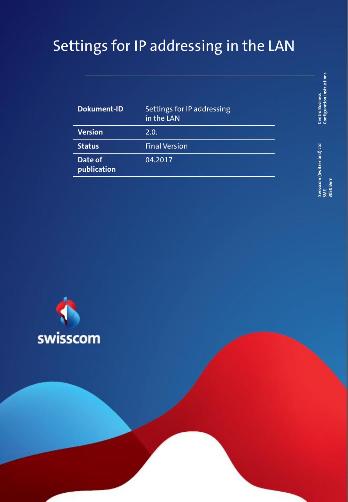# Settings for IP addressing in the LAN

| <b>Dokument-ID</b>     | Settings for IP addressing<br>in the LAN |
|------------------------|------------------------------------------|
| <b>Version</b>         | 2.0.                                     |
| <b>Status</b>          | <b>Final Version</b>                     |
| Date of<br>publication | 04.2017                                  |

**Centro Business**<br>Configuration instructions **Configuration instructions Centro Business** 

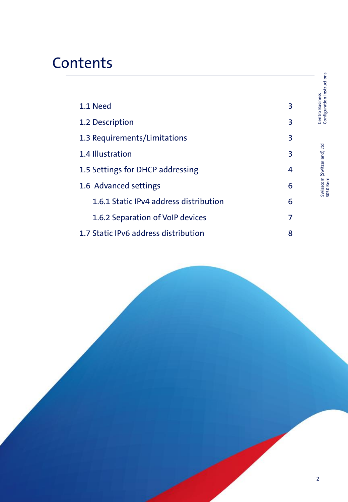## **Contents**

| 1.1 Need                               | 3 |
|----------------------------------------|---|
| 1.2 Description                        | 3 |
| 1.3 Requirements/Limitations           | 3 |
| 1.4 Illustration                       | 3 |
| 1.5 Settings for DHCP addressing       | 4 |
| 1.6 Advanced settings                  | 6 |
| 1.6.1 Static IPv4 address distribution | 6 |
| 1.6.2 Separation of VoIP devices       | 7 |
| 1.7 Static IPv6 address distribution   | 8 |

Centro Business Configuration instructions

Centro Business<br>Configuration instructions

Swisscom (Switzerland) Ltd 3050 Bern

Swisscom (Switzerland) Ltd<br>3050 Bern

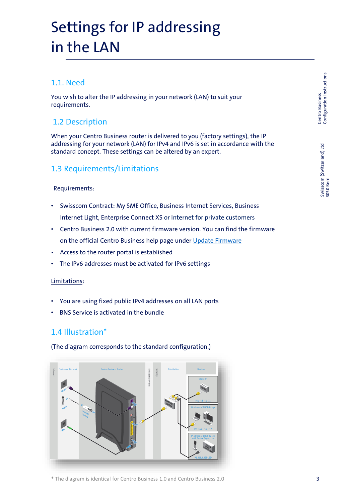## Settings for IP addressing in the LAN

### 1.1. Need

You wish to alter the IP addressing in your network (LAN) to suit your requirements.

## 1.2 Description

When your Centro Business router is delivered to you (factory settings), the IP addressing for your network (LAN) for IPv4 and IPv6 is set in accordance with the standard concept. These settings can be altered by an expert.

### 1.3 Requirements/Limitations

#### Requirements:

- Swisscom Contract: My SME Office, Business Internet Services, Business Internet Light, Enterprise Connect XS or Internet for private customers
- Centro Business 2.0 with current firmware version. You can find the firmware on the official Centro Business help page under [Update Firmware](http://www.swisscom.ch/centrobusiness2-fw)
- Access to the router portal is established
- The IPv6 addresses must be activated for IPv6 settings

#### Limitations:

- You are using fixed public IPv4 addresses on all LAN ports
- BNS Service is activated in the bundle

### 1.4 Illustration\*

(The diagram corresponds to the standard configuration.)

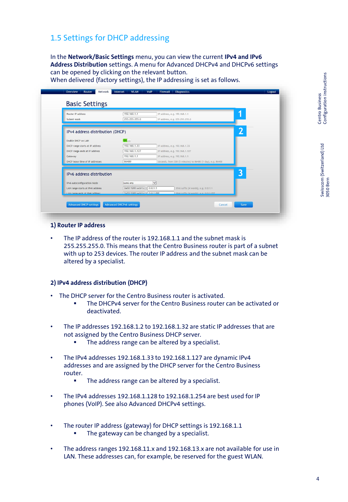## 1.5 Settings for DHCP addressing

In the **Network/Basic Settings** menu, you can view the current **IPv4 and IPv6 Address Distribution** settings. A menu for Advanced DHCPv4 and DHCPv6 settings can be opened by clicking on the relevant button. When delivered (factory settings), the IP addressing is set as follows.

view Router Network Internet WLAN VoIP Firewall  $L_{\text{000}}$ **Basic Settings**  $\sqrt{192.168.1.1}$ Router IP address IP address, e.g. 192.168.1.1 **1**  $\frac{1}{255.255.255.0}$ IP address, e.g. 255.255.255.0 Subnet mask **2** IPv4 address distribution (DHCP) Fnable DHCP on LAN  $192.168.1.33$ DHCP range starts at IP address IP address, e.g. 192.168.1.33  $\frac{1}{192.168.1.127}$ MCP range ends at IP address IP address, e.g. 192.168.1.127  $192.168.1.1$ IP address, e.g. 192.168.1.1 Gateway DHCP lease time of IP addresse 86400 **3**IPv6 address distribution IPv6 autoconfiguration mode SLAAC only  $\vert \vee \vert$  $\boxed{2a02:1203:ech1:c}:$  0:0:1:1 LAN range starts at IPv6 address IPv6 suffix (4 words), e.g. 0:0:1:1 AN range ends at IPv6 addre a02:1203:ech1: Advanced DHCP settings Advanced DHCPv6 settings Cancel

#### **1) Router IP address**

The IP address of the router is 192.168.1.1 and the subnet mask is 255.255.255.0. This means that the Centro Business router is part of a subnet with up to 253 devices. The router IP address and the subnet mask can be altered by a specialist.

#### **2) IPv4 address distribution (DHCP)**

- The DHCP server for the Centro Business router is activated.
	- The DHCPv4 server for the Centro Business router can be activated or deactivated.
- The IP addresses 192.168.1.2 to 192.168.1.32 are static IP addresses that are not assigned by the Centro Business DHCP server.
	- The address range can be altered by a specialist.
- The IPv4 addresses 192.168.1.33 to 192.168.1.127 are dynamic IPv4 addresses and are assigned by the DHCP server for the Centro Business router.
	- The address range can be altered by a specialist.
- The IPv4 addresses 192.168.1.128 to 192.168.1.254 are best used for IP phones (VoIP). See also Advanced DHCPv4 settings.
- The router IP address (gateway) for DHCP settings is 192.168.1.1
	- The gateway can be changed by a specialist.
- The address ranges 192.168.11.x and 192.168.13.x are not available for use in LAN. These addresses can, for example, be reserved for the guest WLAN.

Centro Business<br>Configuration instructions Configuration instructions 4 Centro Business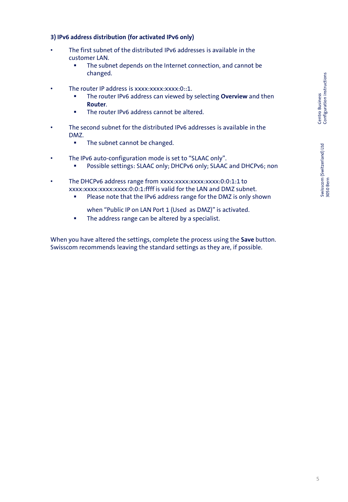## Centro Business<br>Configuration instructions Configuration instructions Centro Business

#### **3) IPv6 address distribution (for activated IPv6 only)**

- The first subnet of the distributed IPv6 addresses is available in the customer LAN.
	- The subnet depends on the Internet connection, and cannot be changed.
- The router IP address is  $xxxxxxxxxx:0::1$ .
	- **EXECT** The router IPv6 address can viewed by selecting **Overview** and then **Router**.
	- The router IPv6 address cannot be altered.
- The second subnet for the distributed IPv6 addresses is available in the DMZ.
	- The subnet cannot be changed.
- The IPv6 auto-configuration mode is set to "SLAAC only".
	- Possible settings: SLAAC only; DHCPv6 only; SLAAC and DHCPv6; non
- The DHCPv6 address range from xxxx:xxxx:xxxx:xxxx:0:0:1:1 to xxxx:xxxx:xxxx:xxxx:0:0:1:ffff is valid for the LAN and DMZ subnet.
	- Please note that the IPv6 address range for the DMZ is only shown
		- when "Public IP on LAN Port 1 (Used as DMZ)" is activated.
	- The address range can be altered by a specialist.

When you have altered the settings, complete the process using the **Save** button. Swisscom recommends leaving the standard settings as they are, if possible.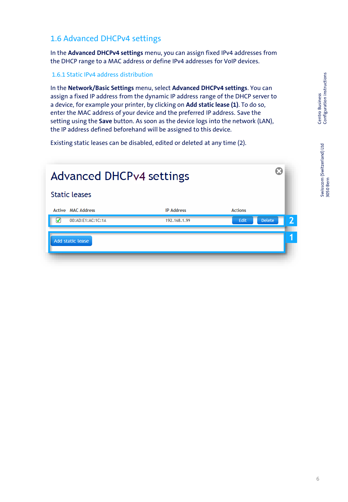Swisscom (Switzerland) Ltd 3050 Bern

## 1.6 Advanced DHCPv4 settings

In the **Advanced DHCPv4 settings** menu, you can assign fixed IPv4 addresses from the DHCP range to a MAC address or define IPv4 addresses for VoIP devices.

#### 1.6.1 Static IPv4 address distribution

In the **Network/Basic Settings** menu, select **Advanced DHCPv4 settings**. You can assign a fixed IP address from the dynamic IP address range of the DHCP server to a device, for example your printer, by clicking on **Add static lease (1)**. To do so, enter the MAC address of your device and the preferred IP address. Save the setting using the **Save** button. As soon as the device logs into the network (LAN), the IP address defined beforehand will be assigned to this device.

Existing static leases can be disabled, edited or deleted at any time (2).

| <b>Advanced DHCPv4 settings</b> |                   |                | ဩ                                        |
|---------------------------------|-------------------|----------------|------------------------------------------|
| <b>Static leases</b>            |                   |                |                                          |
| <b>Active MAC Address</b>       | <b>IP Address</b> | <b>Actions</b> |                                          |
| 00:AD:E1:AC:1C:1A               | 192.168.1.99      | Edit           | $\overline{\mathbf{2}}$<br><b>Delete</b> |
| Add static lease                |                   |                | ч                                        |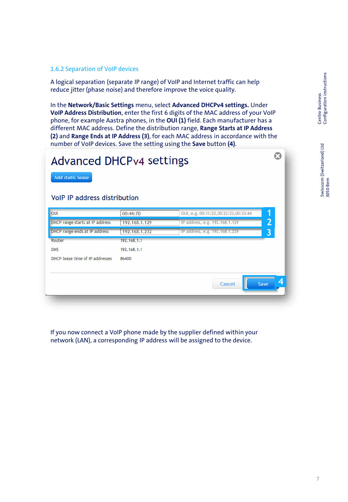Swisscom (Switzerland) Ltd 3050 Bern

Ω

#### 1.6.2 Separation of VoIP devices

A logical separation (separate IP range) of VoIP and Internet traffic can help reduce jitter (phase noise) and therefore improve the voice quality.

In the **Network/Basic Settings** menu, select **Advanced DHCPv4 settings.** Under **VoIP Address Distribution**, enter the first 6 digits of the MAC address of your VoIP phone, for example Aastra phones, in the **OUI (1)** field. Each manufacturer has a different MAC address. Define the distribution range, **Range Starts at IP Address (2)** and **Range Ends at IP Address (3)**, for each MAC address in accordance with the number of VoIP devices. Save the setting using the **Save** button **(4)**.

## **Advanced DHCPv4 settings**

Add static lease

#### **VoIP IP address distribution**

| <b>OUI</b>                      | 00:44:7D      | 1<br>OUI, e.g. 00:11:22,00:22:33,00:33:44 |  |
|---------------------------------|---------------|-------------------------------------------|--|
| DHCP range starts at IP address | 192.168.1.129 | 2<br>IP address, e.g. 192.168.1.129       |  |
| DHCP range ends at IP address   | 192.168.1.232 | IP address, e.g. 192.168.1.229<br>3       |  |
| Router                          | 192.168.1.1   |                                           |  |
| <b>DNS</b>                      | 192.168.1.1   |                                           |  |
| DHCP lease time of IP addresses | 86400         |                                           |  |
|                                 |               |                                           |  |
|                                 |               | Save<br>Cancel                            |  |
|                                 |               |                                           |  |

If you now connect a VoIP phone made by the supplier defined within your network (LAN), a corresponding IP address will be assigned to the device.